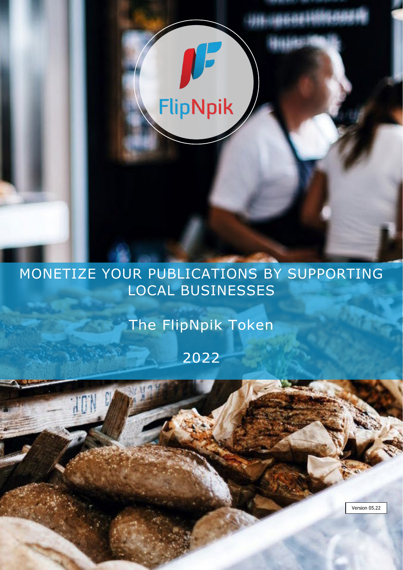# **FlipNpik**

# MONETIZE YOUR PUBLICATIONS BY SUPPORTING LOCAL BUSINESSES

The FlipNpik Token

2022

H

Version 05.22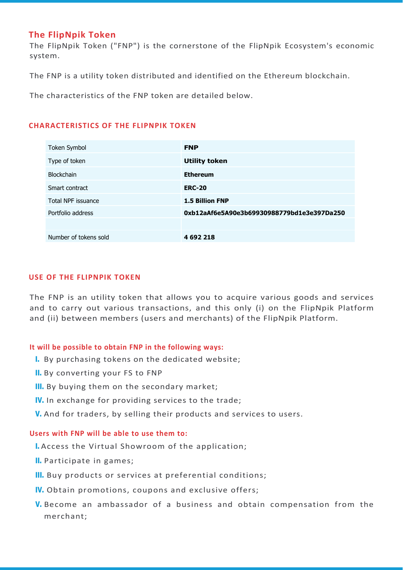# **The FlipNpik Token**

The FlipNpik Token ("FNP") is the cornerstone of the FlipNpik Ecosystem's economic system.

The FNP is a utility token distributed and identified on the Ethereum blockchain.

The characteristics of the FNP token are detailed below.

# **CHARACTERISTICS OF THE FLIPNPIK TOKEN**

| Token Symbol          | <b>FNP</b>                                 |
|-----------------------|--------------------------------------------|
| Type of token         | <b>Utility token</b>                       |
| <b>Blockchain</b>     | <b>Ethereum</b>                            |
| Smart contract        | <b>ERC-20</b>                              |
| Total NPF issuance    | <b>1.5 Billion FNP</b>                     |
| Portfolio address     | 0xb12aAf6e5A90e3b69930988779bd1e3e397Da250 |
|                       |                                            |
| Number of tokens sold | 4 692 218                                  |

# **USE OF THE FLIPNPIK TOKEN**

The FNP is an utility token that allows you to acquire various goods and services and to carry out various transactions, and this only (i) on the FlipNpik Platform and (ii) between members (users and merchants) of the FlipNpik Platform.

# **It will be possible to obtain FNP in the following ways:**

- I. By purchasing tokens on the dedicated website;
- II. By converting your FS to FNP
- III. By buying them on the secondary market;
- IV. In exchange for providing services to the trade;
- V. And for traders, by selling their products and services to users.

# **Users with FNP will be able to use them to:**

- I. Access the Virtual Showroom of the application;
- II. Participate in games;
- III. Buy products or services at preferential conditions;
- IV. Obtain promotions, coupons and exclusive offers;
- V. Become an ambassador of a business and obtain compensation from the merchant;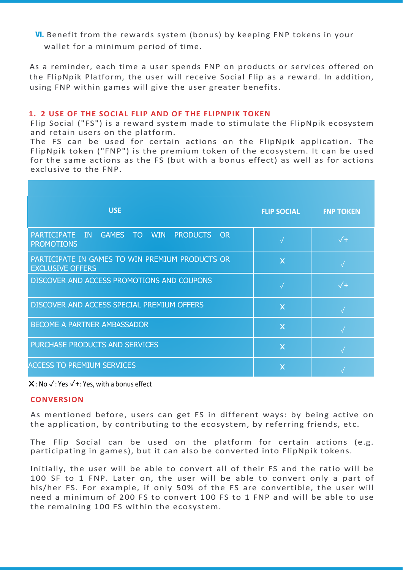VI. Benefit from the rewards system (bonus) by keeping FNP tokens in your wallet for a minimum period of time.

As a reminder, each time a user spends FNP on products or services offered on the FlipNpik Platform, the user will receive Social Flip as a reward. In addition, using FNP within games will give the user greater benefits.

#### **1. 2 USE OF THE SOCIAL FLIP AND OF THE FLIPNPIK TOKEN**

Flip Social ("FS") is a reward system made to stimulate the FlipNpik ecosystem and retain users on the platform.

The FS can be used for certain actions on the FlipNpik application. The FlipNpik token ("FNP") is the premium token of the ecosystem. It can be used for the same actions as the FS (but with a bonus effect) as well as for actions exclusive to the FNP.

| <b>USE</b>                                                                                                    | <b>FLIP SOCIAL</b>      | <b>FNP TOKEN</b> |
|---------------------------------------------------------------------------------------------------------------|-------------------------|------------------|
| <b>WIN</b><br><b>PRODUCTS OR</b><br><b>PARTICIPATE</b><br>IN<br><b>GAMES</b><br>$\top$ O<br><b>PROMOTIONS</b> |                         | $\sqrt{+}$       |
| PARTICIPATE IN GAMES TO WIN PREMIUM PRODUCTS OR<br><b>EXCLUSIVE OFFERS</b>                                    | $\overline{\mathsf{x}}$ |                  |
| DISCOVER AND ACCESS PROMOTIONS AND COUPONS                                                                    |                         | $\sqrt{}$        |
| DISCOVER AND ACCESS SPECIAL PREMIUM OFFERS                                                                    | $\overline{\mathsf{x}}$ |                  |
| BECOME A PARTNER AMBASSADOR                                                                                   | $\overline{\mathsf{x}}$ |                  |
| PURCHASE PRODUCTS AND SERVICES                                                                                | $\overline{\mathsf{x}}$ |                  |
| <b>ACCESS TO PREMIUM SERVICES</b>                                                                             | $\overline{\mathsf{x}}$ |                  |

✖ :No ✓: Yes ✓**+**: Yes, with a bonus effect

#### **CONVERSION**

As mentioned before, users can get FS in different ways: by being active on the application, by contributing to the ecosystem, by referring friends, etc.

The Flip Social can be used on the platform for certain actions (e.g. participating in games), but it can also be converted into FlipNpik tokens.

Initially, the user will be able to convert all of their FS and the ratio will be 100 SF to 1 FNP. Later on, the user will be able to convert only a part of his/her FS. For example, if only 50% of the FS are convertible, the user will need a minimum of 200 FS to convert 100 FS to 1 FNP and will be able to use the remaining 100 FS within the ecosystem.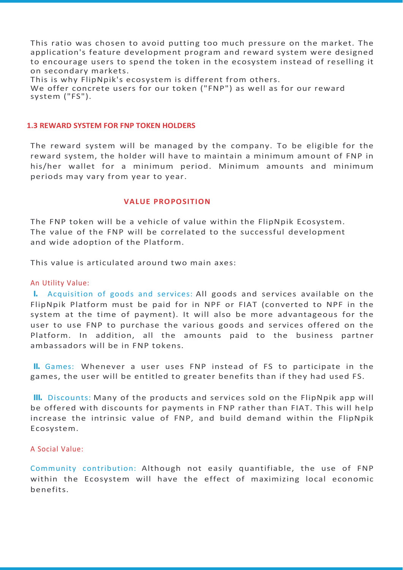This ratio was chosen to avoid putting too much pressure on the market. The application's feature development program and reward system were designed to encourage users to spend the token in the ecosystem instead of reselling it on secondary markets.

This is why FlipNpik's ecosystem is different from others. We offer concrete users for our token ("FNP") as well as for our reward system ("FS").

#### **1.3 REWARD SYSTEM FOR FNP TOKEN HOLDERS**

The reward system will be managed by the company. To be eligible for the reward system, the holder will have to maintain a minimum amount of FNP in his/her wallet for a minimum period. Minimum amounts and minimum periods may vary from year to year.

#### **VALUE PROPOSITION**

The FNP token will be a vehicle of value within the FlipNpik Ecosystem. The value of the FNP will be correlated to the successful development and wide adoption of the Platform.

This value is articulated around two main axes:

#### An Utility Value:

I. Acquisition of goods and services: All goods and services available on the FlipNpik Platform must be paid for in NPF or FIAT (converted to NPF in the system at the time of payment). It will also be more advantageous for the user to use FNP to purchase the various goods and services offered on the Platform. In addition, all the amounts paid to the business partner ambassadors will be in FNP tokens.

II. Games: Whenever a user uses FNP instead of FS to participate in the games, the user will be entitled to greater benefits than if they had used FS.

III. Discounts: Many of the products and services sold on the FlipNpik app will be offered with discounts for payments in FNP rather than FIAT. This will help increase the intrinsic value of FNP, and build demand within the FlipNpik Ecosystem.

# A Social Value:

Community contribution: Although not easily quantifiable, the use of FNP within the Ecosystem will have the effect of maximizing local economic benefits.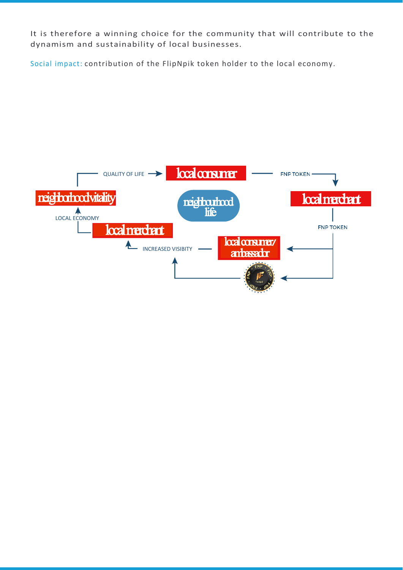It is therefore a winning choice for the community that will contribute to the dynamism and sustainability of local businesses.

Social impact: contribution of the FlipNpik token holder to the local economy.

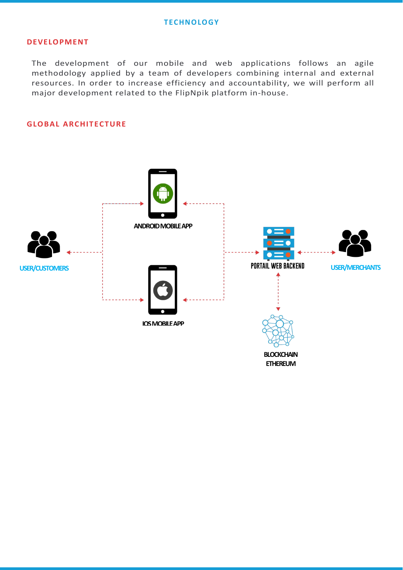# **DEVELOPMENT**

The development of our mobile and web applications follows an agile methodology applied by a team of developers combining internal and external resources. In order to increase efficiency and accountability, we will perform all major development related to the FlipNpik platform in-house.

# **GLOBAL ARCHITECTURE**

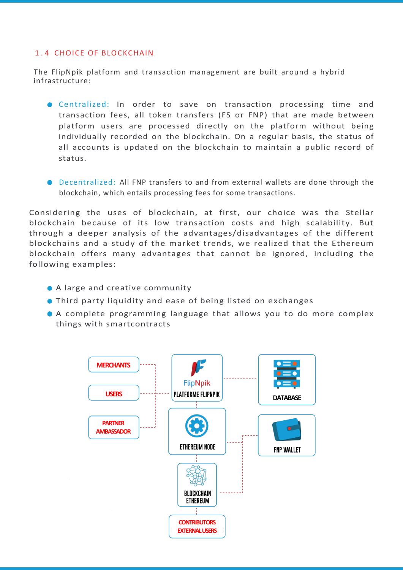# 1.4 CHOICE OF BLOCKCHAIN

The FlipNpik platform and transaction management are built around a hybrid infrastructure:

- Centralized: In order to save on transaction processing time and transaction fees, all token transfers (FS or FNP) that are made between platform users are processed directly on the platform without being individually recorded on the blockchain. On a regular basis, the status of all accounts is updated on the blockchain to maintain a public record of status.
- Decentralized: All FNP transfers to and from external wallets are done through the blockchain, which entails processing fees for some transactions.

Considering the uses of blockchain, at first, our choice was the Stellar blockchain because of its low transaction costs and high scalability. But through a deeper analysis of the advantages/disadvantages of the different blockchains and a study of the market trends, we realized that the Ethereum blockchain offers many advantages that cannot be ignored, including the following examples:

- A large and creative community
- Third party liquidity and ease of being listed on exchanges
- A complete programming language that allows you to do more complex things with smartcontracts